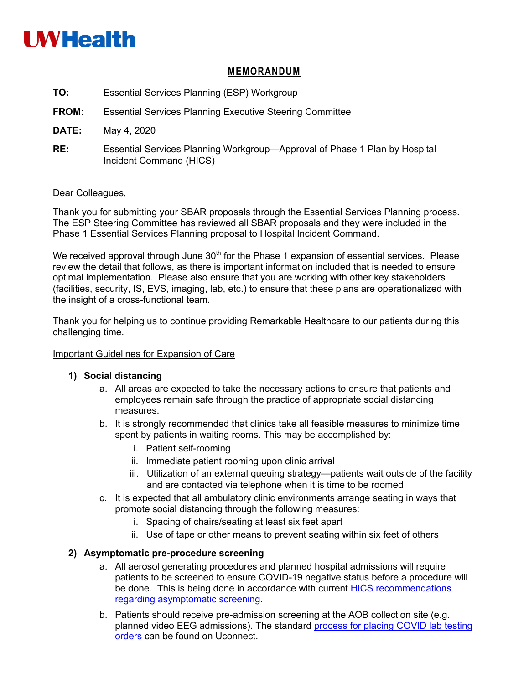

### **MEMORANDUM**

| TO:          | Essential Services Planning (ESP) Workgroup                                                           |
|--------------|-------------------------------------------------------------------------------------------------------|
| <b>FROM:</b> | <b>Essential Services Planning Executive Steering Committee</b>                                       |
| DATE:        | May 4, 2020                                                                                           |
| RE:          | Essential Services Planning Workgroup—Approval of Phase 1 Plan by Hospital<br>Incident Command (HICS) |

Dear Colleagues,

Thank you for submitting your SBAR proposals through the Essential Services Planning process. The ESP Steering Committee has reviewed all SBAR proposals and they were included in the Phase 1 Essential Services Planning proposal to Hospital Incident Command.

We received approval through June  $30<sup>th</sup>$  for the Phase 1 expansion of essential services. Please review the detail that follows, as there is important information included that is needed to ensure optimal implementation. Please also ensure that you are working with other key stakeholders (facilities, security, IS, EVS, imaging, lab, etc.) to ensure that these plans are operationalized with the insight of a cross-functional team.

Thank you for helping us to continue providing Remarkable Healthcare to our patients during this challenging time.

#### Important Guidelines for Expansion of Care

### **1) Social distancing**

- a. All areas are expected to take the necessary actions to ensure that patients and employees remain safe through the practice of appropriate social distancing measures.
- b. It is strongly recommended that clinics take all feasible measures to minimize time spent by patients in waiting rooms. This may be accomplished by:
	- i. Patient self-rooming
	- ii. Immediate patient rooming upon clinic arrival
	- iii. Utilization of an external queuing strategy—patients wait outside of the facility and are contacted via telephone when it is time to be roomed
- c. It is expected that all ambulatory clinic environments arrange seating in ways that promote social distancing through the following measures:
	- i. Spacing of chairs/seating at least six feet apart
	- ii. Use of tape or other means to prevent seating within six feet of others

### **2) Asymptomatic pre-procedure screening**

- a. All aerosol generating procedures and planned hospital admissions will require patients to be screened to ensure COVID-19 negative status before a procedure will be done. This is being done in accordance with current HICS recommendations regarding asymptomatic screening.
- b. Patients should receive pre-admission screening at the AOB collection site (e.g. planned video EEG admissions). The standard process for placing COVID lab testing orders can be found on Uconnect.